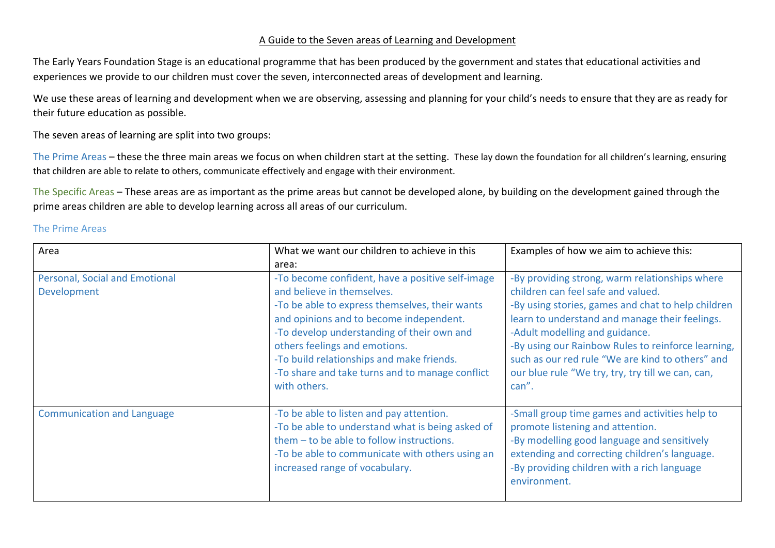## A Guide to the Seven areas of Learning and Development

The Early Years Foundation Stage is an educational programme that has been produced by the government and states that educational activities and experiences we provide to our children must cover the seven, interconnected areas of development and learning.

We use these areas of learning and development when we are observing, assessing and planning for your child's needs to ensure that they are as ready for their future education as possible.

The seven areas of learning are split into two groups:

The Prime Areas – these the three main areas we focus on when children start at the setting. These lay down the foundation for all children's learning, ensuring that children are able to relate to others, communicate effectively and engage with their environment.

The Specific Areas – These areas are as important as the prime areas but cannot be developed alone, by building on the development gained through the prime areas children are able to develop learning across all areas of our curriculum.

## The Prime Areas

| Area                                                 | What we want our children to achieve in this                                                                                                                                                                                                                                                                                                                               | Examples of how we aim to achieve this:                                                                                                                                                                                                                                                                                                                                                                |
|------------------------------------------------------|----------------------------------------------------------------------------------------------------------------------------------------------------------------------------------------------------------------------------------------------------------------------------------------------------------------------------------------------------------------------------|--------------------------------------------------------------------------------------------------------------------------------------------------------------------------------------------------------------------------------------------------------------------------------------------------------------------------------------------------------------------------------------------------------|
|                                                      | area:                                                                                                                                                                                                                                                                                                                                                                      |                                                                                                                                                                                                                                                                                                                                                                                                        |
| Personal, Social and Emotional<br><b>Development</b> | -To become confident, have a positive self-image<br>and believe in themselves.<br>-To be able to express themselves, their wants<br>and opinions and to become independent.<br>-To develop understanding of their own and<br>others feelings and emotions.<br>-To build relationships and make friends.<br>-To share and take turns and to manage conflict<br>with others. | -By providing strong, warm relationships where<br>children can feel safe and valued.<br>-By using stories, games and chat to help children<br>learn to understand and manage their feelings.<br>-Adult modelling and guidance.<br>-By using our Rainbow Rules to reinforce learning,<br>such as our red rule "We are kind to others" and<br>our blue rule "We try, try, try till we can, can,<br>can". |
| <b>Communication and Language</b>                    | -To be able to listen and pay attention.<br>-To be able to understand what is being asked of<br>them - to be able to follow instructions.<br>-To be able to communicate with others using an<br>increased range of vocabulary.                                                                                                                                             | -Small group time games and activities help to<br>promote listening and attention.<br>-By modelling good language and sensitively<br>extending and correcting children's language.<br>-By providing children with a rich language<br>environment.                                                                                                                                                      |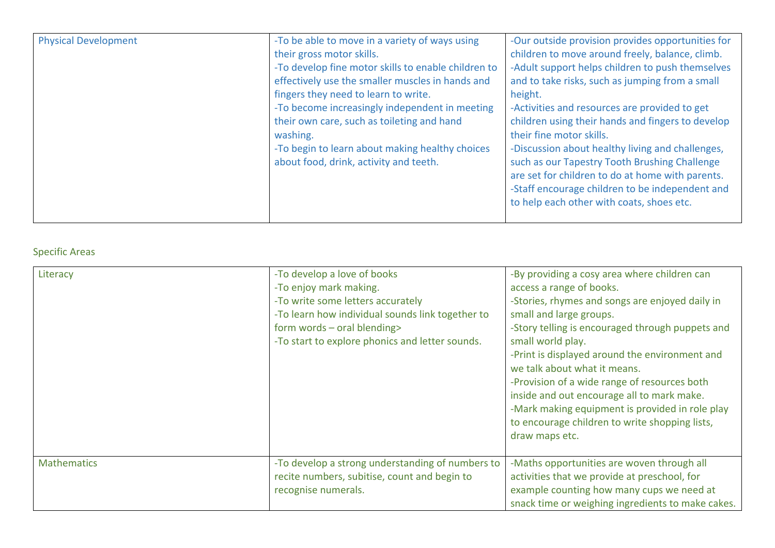| <b>Physical Development</b> | -To be able to move in a variety of ways using<br>their gross motor skills.<br>-To develop fine motor skills to enable children to<br>effectively use the smaller muscles in hands and<br>fingers they need to learn to write.<br>-To become increasingly independent in meeting<br>their own care, such as toileting and hand<br>washing.<br>-To begin to learn about making healthy choices<br>about food, drink, activity and teeth. | -Our outside provision provides opportunities for<br>children to move around freely, balance, climb.<br>-Adult support helps children to push themselves<br>and to take risks, such as jumping from a small<br>height.<br>-Activities and resources are provided to get<br>children using their hands and fingers to develop<br>their fine motor skills.<br>-Discussion about healthy living and challenges,<br>such as our Tapestry Tooth Brushing Challenge<br>are set for children to do at home with parents.<br>-Staff encourage children to be independent and<br>to help each other with coats, shoes etc. |
|-----------------------------|-----------------------------------------------------------------------------------------------------------------------------------------------------------------------------------------------------------------------------------------------------------------------------------------------------------------------------------------------------------------------------------------------------------------------------------------|-------------------------------------------------------------------------------------------------------------------------------------------------------------------------------------------------------------------------------------------------------------------------------------------------------------------------------------------------------------------------------------------------------------------------------------------------------------------------------------------------------------------------------------------------------------------------------------------------------------------|
|-----------------------------|-----------------------------------------------------------------------------------------------------------------------------------------------------------------------------------------------------------------------------------------------------------------------------------------------------------------------------------------------------------------------------------------------------------------------------------------|-------------------------------------------------------------------------------------------------------------------------------------------------------------------------------------------------------------------------------------------------------------------------------------------------------------------------------------------------------------------------------------------------------------------------------------------------------------------------------------------------------------------------------------------------------------------------------------------------------------------|

## Specific Areas

| Literacy           | -To develop a love of books<br>-To enjoy mark making.<br>-To write some letters accurately<br>-To learn how individual sounds link together to<br>form words - oral blending><br>-To start to explore phonics and letter sounds. | -By providing a cosy area where children can<br>access a range of books.<br>-Stories, rhymes and songs are enjoyed daily in<br>small and large groups.<br>-Story telling is encouraged through puppets and<br>small world play.<br>-Print is displayed around the environment and<br>we talk about what it means.<br>-Provision of a wide range of resources both<br>inside and out encourage all to mark make.<br>-Mark making equipment is provided in role play<br>to encourage children to write shopping lists,<br>draw maps etc. |
|--------------------|----------------------------------------------------------------------------------------------------------------------------------------------------------------------------------------------------------------------------------|----------------------------------------------------------------------------------------------------------------------------------------------------------------------------------------------------------------------------------------------------------------------------------------------------------------------------------------------------------------------------------------------------------------------------------------------------------------------------------------------------------------------------------------|
| <b>Mathematics</b> | -To develop a strong understanding of numbers to<br>recite numbers, subitise, count and begin to<br>recognise numerals.                                                                                                          | -Maths opportunities are woven through all<br>activities that we provide at preschool, for<br>example counting how many cups we need at<br>snack time or weighing ingredients to make cakes.                                                                                                                                                                                                                                                                                                                                           |